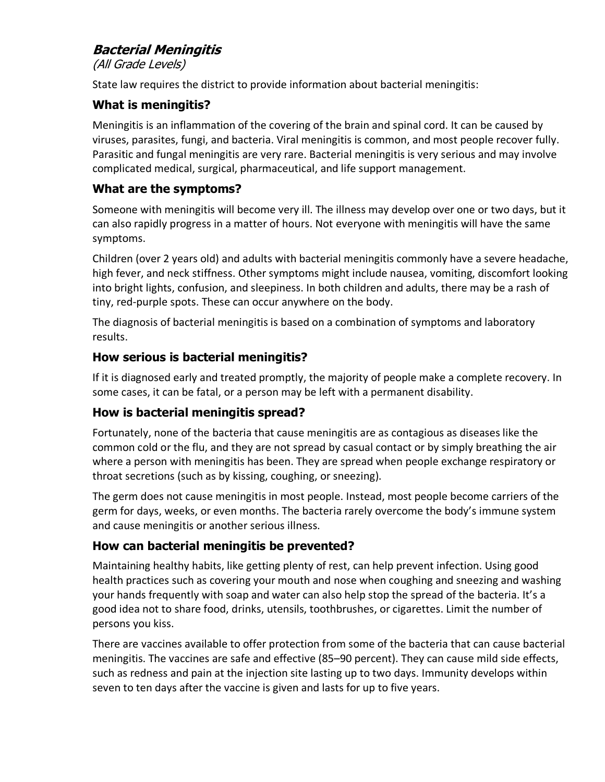# **Bacterial Meningitis**

(All Grade Levels)

State law requires the district to provide information about bacterial meningitis:

# **What is meningitis?**

Meningitis is an inflammation of the covering of the brain and spinal cord. It can be caused by viruses, parasites, fungi, and bacteria. Viral meningitis is common, and most people recover fully. Parasitic and fungal meningitis are very rare. Bacterial meningitis is very serious and may involve complicated medical, surgical, pharmaceutical, and life support management.

# **What are the symptoms?**

Someone with meningitis will become very ill. The illness may develop over one or two days, but it can also rapidly progress in a matter of hours. Not everyone with meningitis will have the same symptoms.

Children (over 2 years old) and adults with bacterial meningitis commonly have a severe headache, high fever, and neck stiffness. Other symptoms might include nausea, vomiting, discomfort looking into bright lights, confusion, and sleepiness. In both children and adults, there may be a rash of tiny, red-purple spots. These can occur anywhere on the body.

The diagnosis of bacterial meningitis is based on a combination of symptoms and laboratory results.

## **How serious is bacterial meningitis?**

If it is diagnosed early and treated promptly, the majority of people make a complete recovery. In some cases, it can be fatal, or a person may be left with a permanent disability.

## **How is bacterial meningitis spread?**

Fortunately, none of the bacteria that cause meningitis are as contagious as diseases like the common cold or the flu, and they are not spread by casual contact or by simply breathing the air where a person with meningitis has been. They are spread when people exchange respiratory or throat secretions (such as by kissing, coughing, or sneezing).

The germ does not cause meningitis in most people. Instead, most people become carriers of the germ for days, weeks, or even months. The bacteria rarely overcome the body's immune system and cause meningitis or another serious illness.

## **How can bacterial meningitis be prevented?**

Maintaining healthy habits, like getting plenty of rest, can help prevent infection. Using good health practices such as covering your mouth and nose when coughing and sneezing and washing your hands frequently with soap and water can also help stop the spread of the bacteria. It's a good idea not to share food, drinks, utensils, toothbrushes, or cigarettes. Limit the number of persons you kiss.

There are vaccines available to offer protection from some of the bacteria that can cause bacterial meningitis. The vaccines are safe and effective (85–90 percent). They can cause mild side effects, such as redness and pain at the injection site lasting up to two days. Immunity develops within seven to ten days after the vaccine is given and lasts for up to five years.